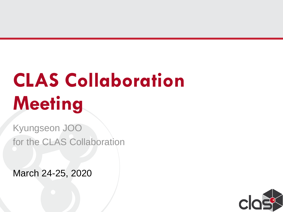# **CLAS Collaboration Meeting**

Kyungseon JOO for the CLAS Collaboration

March 24-25, 2020

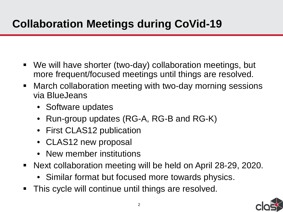## **Collaboration Meetings during CoVid-19**

- We will have shorter (two-day) collaboration meetings, but more frequent/focused meetings until things are resolved.
- March collaboration meeting with two-day morning sessions via BlueJeans
	- Software updates
	- Run-group updates (RG-A, RG-B and RG-K)
	- First CLAS12 publication
	- CLAS12 new proposal
	- New member institutions
- Next collaboration meeting will be held on April 28-29, 2020.
	- IUIU UITAPII<br>Lowarde nl • Similar format but focused more towards physics.
- **This cycle will continue until things are resolved.**

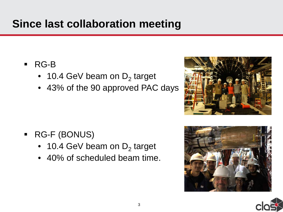#### **Since last collaboration meeting**

- RG-B
	- 10.4 GeV beam on  $D_2$  target
	- 43% of the 90 approved PAC days

- RG-F (BONUS)
	- 10.4 GeV beam on  $D_2$  target
	- 40% of scheduled beam time.





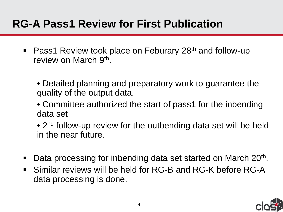#### **RG-A Pass1 Review for First Publication**

- Pass1 Review took place on Feburary 28<sup>th</sup> and follow-up review on March 9<sup>th</sup>.
	- Detailed planning and preparatory work to guarantee the quality of the output data.
	- Committee authorized the start of pass1 for the inbending data set
	- 2<sup>nd</sup> follow-up review for the outbending data set will be held in the near future.
- $\blacksquare$  Data processing for inbending data set started on March 20<sup>th</sup>.
- **Similar reviews will be held for RG-B and RG-K before RG-A** data processing is done.

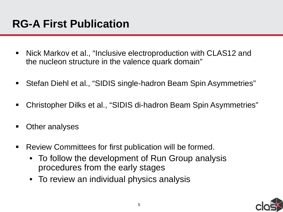- Nick Markov et al., "Inclusive electroproduction with CLAS12 and the nucleon structure in the valence quark domain"
- Stefan Diehl et al., "SIDIS single-hadron Beam Spin Asymmetries"
- Christopher Dilks et al., "SIDIS di-hadron Beam Spin Asymmetries"
- Other analyses
- Review Committees for first publication will be formed.
	- To follow the development of Run Group analysis procedures from the early stages
	- To review an individual physics analysis

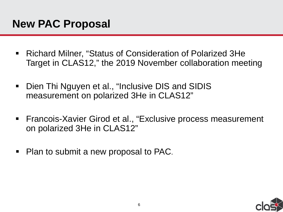- Richard Milner, "Status of Consideration of Polarized 3He Target in CLAS12," the 2019 November collaboration meeting
- **Dien Thi Nguyen et al., "Inclusive DIS and SIDIS** measurement on polarized 3He in CLAS12"
- Francois-Xavier Girod et al., "Exclusive process measurement on polarized 3He in CLAS12"
- Plan to submit a new proposal to PAC.

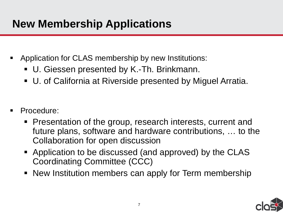### **New Membership Applications**

- Application for CLAS membership by new Institutions:
	- U. Giessen presented by K.-Th. Brinkmann.
	- U. of California at Riverside presented by Miguel Arratia.
- Procedure:
	- **Presentation of the group, research interests, current and** future plans, software and hardware contributions, … to the Collaboration for open discussion
	- Application to be discussed (and approved) by the CLAS Coordinating Committee (CCC)
	- **New Institution members can apply for Term membership**